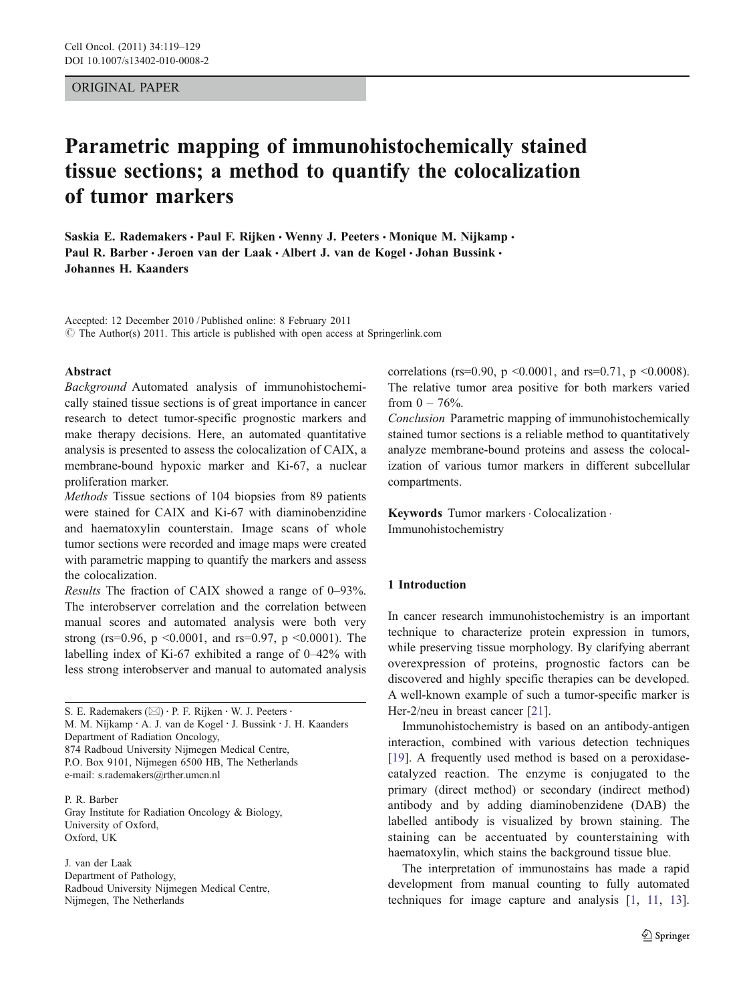### ORIGINAL PAPER

# Parametric mapping of immunohistochemically stained tissue sections; a method to quantify the colocalization of tumor markers

Saskia E. Rademakers · Paul F. Rijken · Wenny J. Peeters · Monique M. Nijkamp · Paul R. Barber • Jeroen van der Laak • Albert J. van de Kogel • Johan Bussink • Johannes H. Kaanders

Accepted: 12 December 2010 / Published online: 8 February 2011  $\odot$  The Author(s) 2011. This article is published with open access at Springerlink.com

#### Abstract

Background Automated analysis of immunohistochemically stained tissue sections is of great importance in cancer research to detect tumor-specific prognostic markers and make therapy decisions. Here, an automated quantitative analysis is presented to assess the colocalization of CAIX, a membrane-bound hypoxic marker and Ki-67, a nuclear proliferation marker.

Methods Tissue sections of 104 biopsies from 89 patients were stained for CAIX and Ki-67 with diaminobenzidine and haematoxylin counterstain. Image scans of whole tumor sections were recorded and image maps were created with parametric mapping to quantify the markers and assess the colocalization.

Results The fraction of CAIX showed a range of 0–93%. The interobserver correlation and the correlation between manual scores and automated analysis were both very strong (rs=0.96, p <0.0001, and rs=0.97, p <0.0001). The labelling index of Ki-67 exhibited a range of 0–42% with less strong interobserver and manual to automated analysis

S. E. Rademakers  $(\boxtimes) \cdot$  P. F. Rijken  $\cdot$  W. J. Peeters  $\cdot$ M. M. Nijkamp : A. J. van de Kogel : J. Bussink : J. H. Kaanders Department of Radiation Oncology, 874 Radboud University Nijmegen Medical Centre, P.O. Box 9101, Nijmegen 6500 HB, The Netherlands e-mail: s.rademakers@rther.umcn.nl

P. R. Barber Gray Institute for Radiation Oncology & Biology, University of Oxford, Oxford, UK

J. van der Laak Department of Pathology, Radboud University Nijmegen Medical Centre, Nijmegen, The Netherlands

correlations (rs=0.90, p <0.0001, and rs=0.71, p <0.0008). The relative tumor area positive for both markers varied from  $0 - 76%$ .

Conclusion Parametric mapping of immunohistochemically stained tumor sections is a reliable method to quantitatively analyze membrane-bound proteins and assess the colocalization of various tumor markers in different subcellular compartments.

Keywords Tumor markers . Colocalization . Immunohistochemistry

# 1 Introduction

In cancer research immunohistochemistry is an important technique to characterize protein expression in tumors, while preserving tissue morphology. By clarifying aberrant overexpression of proteins, prognostic factors can be discovered and highly specific therapies can be developed. A well-known example of such a tumor-specific marker is Her-2/neu in breast cancer [\[21](#page-10-0)].

Immunohistochemistry is based on an antibody-antigen interaction, combined with various detection techniques [\[19](#page-10-0)]. A frequently used method is based on a peroxidasecatalyzed reaction. The enzyme is conjugated to the primary (direct method) or secondary (indirect method) antibody and by adding diaminobenzidene (DAB) the labelled antibody is visualized by brown staining. The staining can be accentuated by counterstaining with haematoxylin, which stains the background tissue blue.

The interpretation of immunostains has made a rapid development from manual counting to fully automated techniques for image capture and analysis [\[1](#page-9-0), [11](#page-10-0), [13\]](#page-10-0).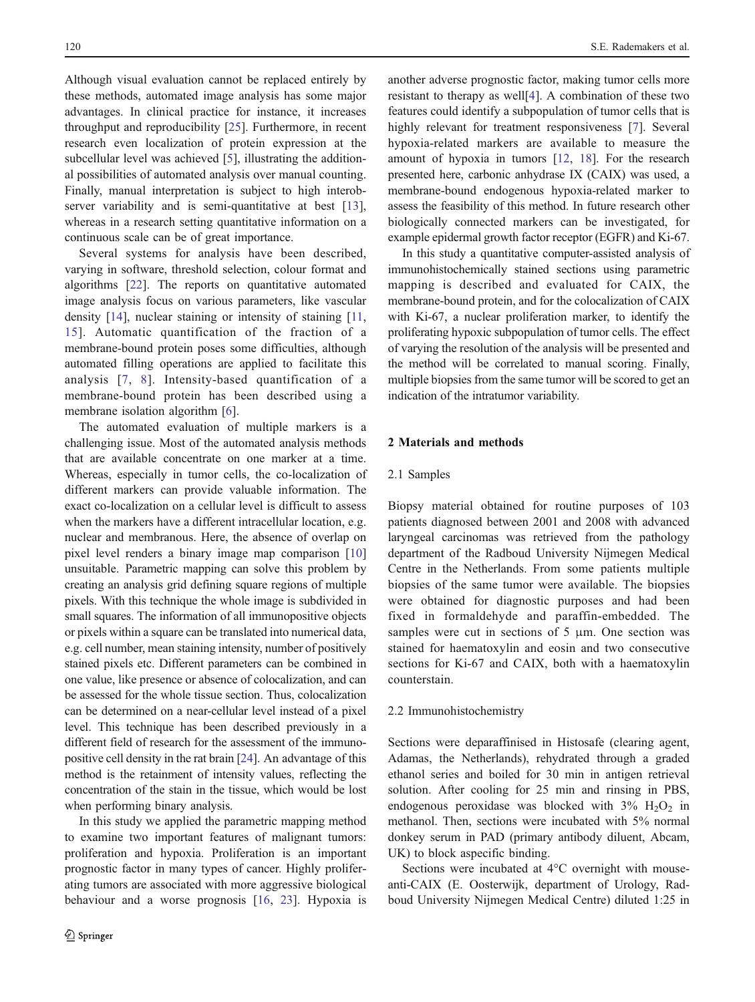Although visual evaluation cannot be replaced entirely by these methods, automated image analysis has some major advantages. In clinical practice for instance, it increases throughput and reproducibility [\[25](#page-10-0)]. Furthermore, in recent research even localization of protein expression at the subcellular level was achieved [\[5](#page-9-0)], illustrating the additional possibilities of automated analysis over manual counting. Finally, manual interpretation is subject to high interob-server variability and is semi-quantitative at best [\[13](#page-10-0)], whereas in a research setting quantitative information on a continuous scale can be of great importance.

Several systems for analysis have been described, varying in software, threshold selection, colour format and algorithms [[22\]](#page-10-0). The reports on quantitative automated image analysis focus on various parameters, like vascular density [[14\]](#page-10-0), nuclear staining or intensity of staining [[11,](#page-10-0) [15\]](#page-10-0). Automatic quantification of the fraction of a membrane-bound protein poses some difficulties, although automated filling operations are applied to facilitate this analysis [[7,](#page-9-0) [8](#page-9-0)]. Intensity-based quantification of a membrane-bound protein has been described using a membrane isolation algorithm [\[6](#page-9-0)].

The automated evaluation of multiple markers is a challenging issue. Most of the automated analysis methods that are available concentrate on one marker at a time. Whereas, especially in tumor cells, the co-localization of different markers can provide valuable information. The exact co-localization on a cellular level is difficult to assess when the markers have a different intracellular location, e.g. nuclear and membranous. Here, the absence of overlap on pixel level renders a binary image map comparison [[10\]](#page-9-0) unsuitable. Parametric mapping can solve this problem by creating an analysis grid defining square regions of multiple pixels. With this technique the whole image is subdivided in small squares. The information of all immunopositive objects or pixels within a square can be translated into numerical data, e.g. cell number, mean staining intensity, number of positively stained pixels etc. Different parameters can be combined in one value, like presence or absence of colocalization, and can be assessed for the whole tissue section. Thus, colocalization can be determined on a near-cellular level instead of a pixel level. This technique has been described previously in a different field of research for the assessment of the immunopositive cell density in the rat brain [\[24\]](#page-10-0). An advantage of this method is the retainment of intensity values, reflecting the concentration of the stain in the tissue, which would be lost when performing binary analysis.

In this study we applied the parametric mapping method to examine two important features of malignant tumors: proliferation and hypoxia. Proliferation is an important prognostic factor in many types of cancer. Highly proliferating tumors are associated with more aggressive biological behaviour and a worse prognosis [\[16](#page-10-0), [23](#page-10-0)]. Hypoxia is

another adverse prognostic factor, making tumor cells more resistant to therapy as well[\[4](#page-9-0)]. A combination of these two features could identify a subpopulation of tumor cells that is highly relevant for treatment responsiveness [\[7](#page-9-0)]. Several hypoxia-related markers are available to measure the amount of hypoxia in tumors [[12,](#page-10-0) [18](#page-10-0)]. For the research presented here, carbonic anhydrase IX (CAIX) was used, a membrane-bound endogenous hypoxia-related marker to assess the feasibility of this method. In future research other biologically connected markers can be investigated, for example epidermal growth factor receptor (EGFR) and Ki-67.

In this study a quantitative computer-assisted analysis of immunohistochemically stained sections using parametric mapping is described and evaluated for CAIX, the membrane-bound protein, and for the colocalization of CAIX with Ki-67, a nuclear proliferation marker, to identify the proliferating hypoxic subpopulation of tumor cells. The effect of varying the resolution of the analysis will be presented and the method will be correlated to manual scoring. Finally, multiple biopsies from the same tumor will be scored to get an indication of the intratumor variability.

#### 2 Materials and methods

#### 2.1 Samples

Biopsy material obtained for routine purposes of 103 patients diagnosed between 2001 and 2008 with advanced laryngeal carcinomas was retrieved from the pathology department of the Radboud University Nijmegen Medical Centre in the Netherlands. From some patients multiple biopsies of the same tumor were available. The biopsies were obtained for diagnostic purposes and had been fixed in formaldehyde and paraffin-embedded. The samples were cut in sections of  $5 \mu m$ . One section was stained for haematoxylin and eosin and two consecutive sections for Ki-67 and CAIX, both with a haematoxylin counterstain.

#### 2.2 Immunohistochemistry

Sections were deparaffinised in Histosafe (clearing agent, Adamas, the Netherlands), rehydrated through a graded ethanol series and boiled for 30 min in antigen retrieval solution. After cooling for 25 min and rinsing in PBS, endogenous peroxidase was blocked with  $3\%$  H<sub>2</sub>O<sub>2</sub> in methanol. Then, sections were incubated with 5% normal donkey serum in PAD (primary antibody diluent, Abcam, UK) to block aspecific binding.

Sections were incubated at 4°C overnight with mouseanti-CAIX (E. Oosterwijk, department of Urology, Radboud University Nijmegen Medical Centre) diluted 1:25 in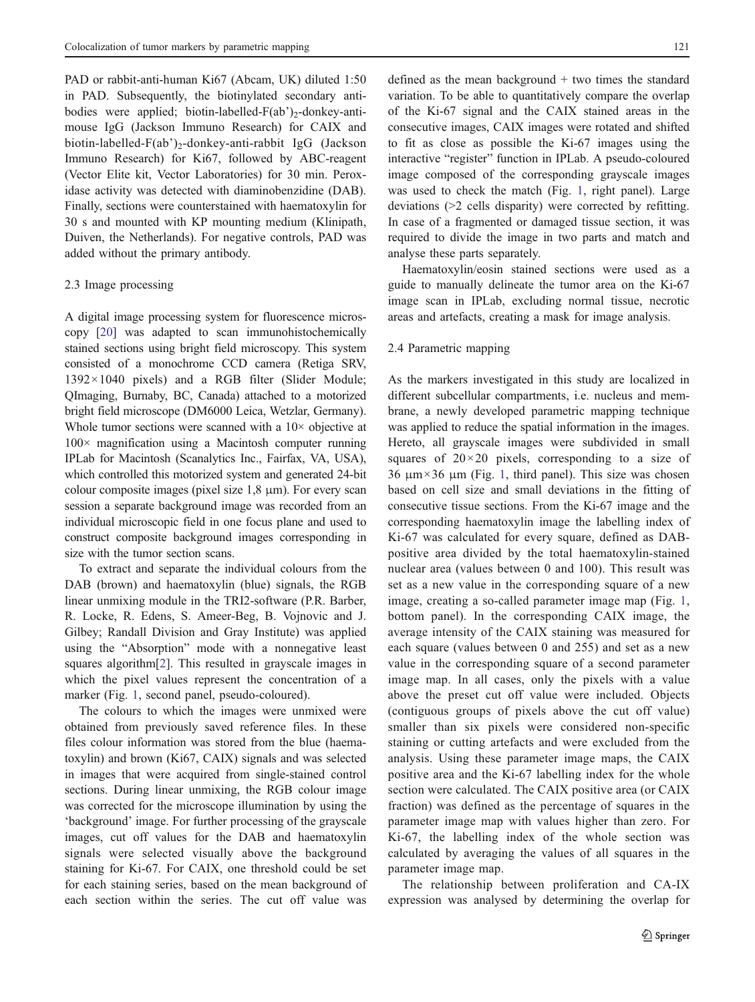PAD or rabbit-anti-human Ki67 (Abcam, UK) diluted 1:50 in PAD. Subsequently, the biotinylated secondary antibodies were applied; biotin-labelled- $F(ab')_2$ -donkey-antimouse IgG (Jackson Immuno Research) for CAIX and biotin-labelled- $F(ab')_2$ -donkey-anti-rabbit IgG (Jackson Immuno Research) for Ki67, followed by ABC-reagent (Vector Elite kit, Vector Laboratories) for 30 min. Peroxidase activity was detected with diaminobenzidine (DAB). Finally, sections were counterstained with haematoxylin for 30 s and mounted with KP mounting medium (Klinipath, Duiven, the Netherlands). For negative controls, PAD was added without the primary antibody.

### 2.3 Image processing

A digital image processing system for fluorescence microscopy [\[20\]](#page-10-0) was adapted to scan immunohistochemically stained sections using bright field microscopy. This system consisted of a monochrome CCD camera (Retiga SRV, 1392×1040 pixels) and a RGB filter (Slider Module; QImaging, Burnaby, BC, Canada) attached to a motorized bright field microscope (DM6000 Leica, Wetzlar, Germany). Whole tumor sections were scanned with a  $10\times$  objective at  $100\times$  magnification using a Macintosh computer running IPLab for Macintosh (Scanalytics Inc., Fairfax, VA, USA), which controlled this motorized system and generated 24-bit colour composite images (pixel size  $1,8 \mu$ m). For every scan session a separate background image was recorded from an individual microscopic field in one focus plane and used to construct composite background images corresponding in size with the tumor section scans.

To extract and separate the individual colours from the DAB (brown) and haematoxylin (blue) signals, the RGB linear unmixing module in the TRI2-software (P.R. Barber, R. Locke, R. Edens, S. Ameer-Beg, B. Vojnovic and J. Gilbey; Randall Division and Gray Institute) was applied using the "Absorption" mode with a nonnegative least squares algorithm[\[2](#page-9-0)]. This resulted in grayscale images in which the pixel values represent the concentration of a marker (Fig. [1](#page-3-0), second panel, pseudo-coloured).

The colours to which the images were unmixed were obtained from previously saved reference files. In these files colour information was stored from the blue (haematoxylin) and brown (Ki67, CAIX) signals and was selected in images that were acquired from single-stained control sections. During linear unmixing, the RGB colour image was corrected for the microscope illumination by using the 'background' image. For further processing of the grayscale images, cut off values for the DAB and haematoxylin signals were selected visually above the background staining for Ki-67. For CAIX, one threshold could be set for each staining series, based on the mean background of each section within the series. The cut off value was

defined as the mean background  $+$  two times the standard variation. To be able to quantitatively compare the overlap of the Ki-67 signal and the CAIX stained areas in the consecutive images, CAIX images were rotated and shifted to fit as close as possible the Ki-67 images using the interactive "register" function in IPLab. A pseudo-coloured image composed of the corresponding grayscale images was used to check the match (Fig. [1](#page-3-0), right panel). Large deviations (>2 cells disparity) were corrected by refitting. In case of a fragmented or damaged tissue section, it was required to divide the image in two parts and match and analyse these parts separately.

Haematoxylin/eosin stained sections were used as a guide to manually delineate the tumor area on the Ki-67 image scan in IPLab, excluding normal tissue, necrotic areas and artefacts, creating a mask for image analysis.

#### 2.4 Parametric mapping

As the markers investigated in this study are localized in different subcellular compartments, i.e. nucleus and membrane, a newly developed parametric mapping technique was applied to reduce the spatial information in the images. Hereto, all grayscale images were subdivided in small squares of  $20 \times 20$  pixels, corresponding to a size of 36  $\mu$ m × 36  $\mu$ m (Fig. [1](#page-3-0), third panel). This size was chosen based on cell size and small deviations in the fitting of consecutive tissue sections. From the Ki-67 image and the corresponding haematoxylin image the labelling index of Ki-67 was calculated for every square, defined as DABpositive area divided by the total haematoxylin-stained nuclear area (values between 0 and 100). This result was set as a new value in the corresponding square of a new image, creating a so-called parameter image map (Fig. [1,](#page-3-0) bottom panel). In the corresponding CAIX image, the average intensity of the CAIX staining was measured for each square (values between 0 and 255) and set as a new value in the corresponding square of a second parameter image map. In all cases, only the pixels with a value above the preset cut off value were included. Objects (contiguous groups of pixels above the cut off value) smaller than six pixels were considered non-specific staining or cutting artefacts and were excluded from the analysis. Using these parameter image maps, the CAIX positive area and the Ki-67 labelling index for the whole section were calculated. The CAIX positive area (or CAIX fraction) was defined as the percentage of squares in the parameter image map with values higher than zero. For Ki-67, the labelling index of the whole section was calculated by averaging the values of all squares in the parameter image map.

The relationship between proliferation and CA-IX expression was analysed by determining the overlap for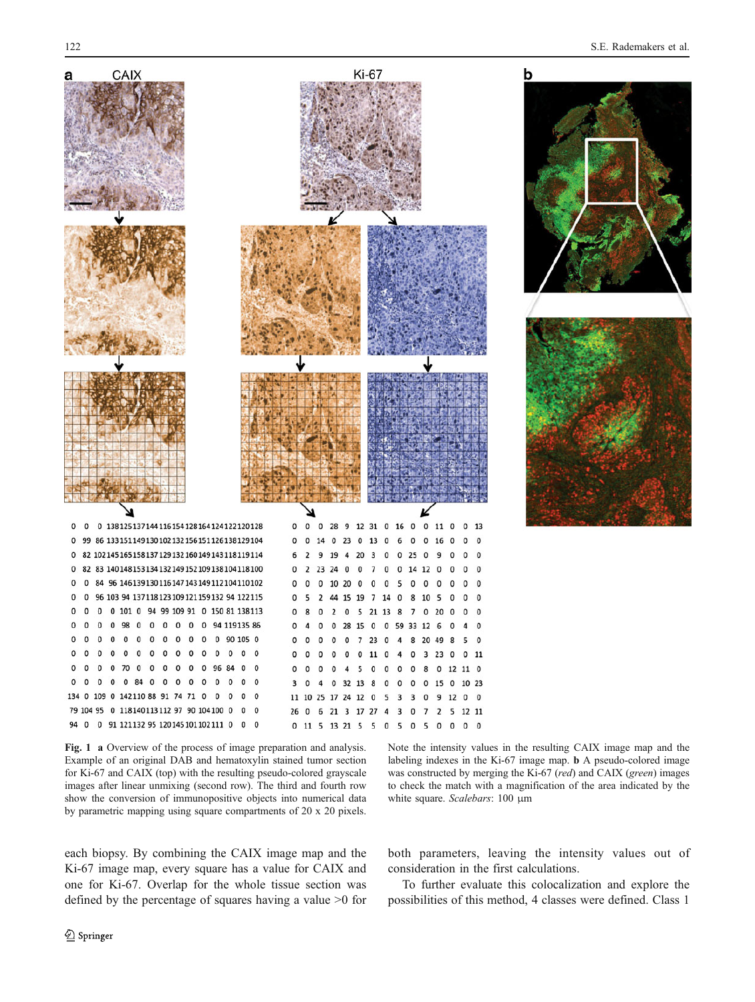<span id="page-3-0"></span>



Fig. 1 a Overview of the process of image preparation and analysis. Example of an original DAB and hematoxylin stained tumor section for Ki-67 and CAIX (top) with the resulting pseudo-colored grayscale images after linear unmixing (second row). The third and fourth row show the conversion of immunopositive objects into numerical data by parametric mapping using square compartments of 20 x 20 pixels.

Note the intensity values in the resulting CAIX image map and the labeling indexes in the Ki-67 image map. b A pseudo-colored image was constructed by merging the Ki-67 (red) and CAIX (green) images to check the match with a magnification of the area indicated by the white square. Scalebars: 100 μm

each biopsy. By combining the CAIX image map and the Ki-67 image map, every square has a value for CAIX and one for Ki-67. Overlap for the whole tissue section was defined by the percentage of squares having a value >0 for both parameters, leaving the intensity values out of consideration in the first calculations.

To further evaluate this colocalization and explore the possibilities of this method, 4 classes were defined. Class 1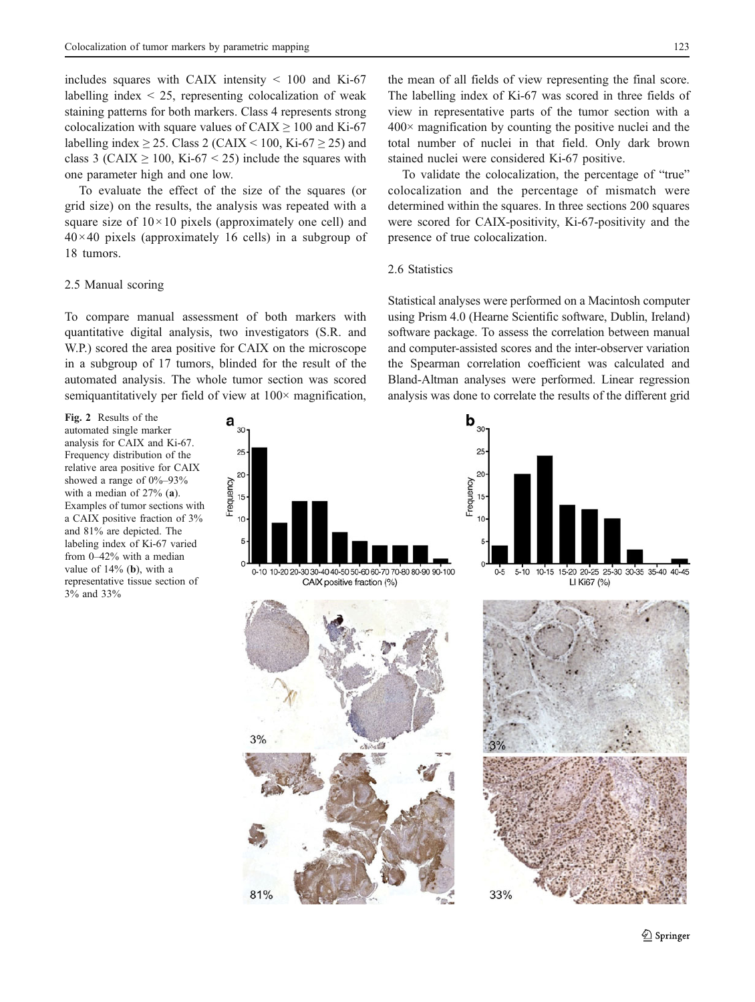<span id="page-4-0"></span>includes squares with CAIX intensity  $\lt$  100 and Ki-67 labelling index  $\leq$  25, representing colocalization of weak staining patterns for both markers. Class 4 represents strong colocalization with square values of  $CAIX > 100$  and Ki-67 labelling index  $\geq$  25. Class 2 (CAIX < 100, Ki-67  $\geq$  25) and class 3 (CAIX  $\geq$  100, Ki-67 < 25) include the squares with one parameter high and one low.

To evaluate the effect of the size of the squares (or grid size) on the results, the analysis was repeated with a square size of  $10 \times 10$  pixels (approximately one cell) and  $40\times40$  pixels (approximately 16 cells) in a subgroup of 18 tumors.

#### 2.5 Manual scoring

To compare manual assessment of both markers with quantitative digital analysis, two investigators (S.R. and W.P.) scored the area positive for CAIX on the microscope in a subgroup of 17 tumors, blinded for the result of the automated analysis. The whole tumor section was scored semiquantitatively per field of view at  $100\times$  magnification,

the mean of all fields of view representing the final score. The labelling index of Ki-67 was scored in three fields of view in representative parts of the tumor section with a  $400\times$  magnification by counting the positive nuclei and the total number of nuclei in that field. Only dark brown stained nuclei were considered Ki-67 positive.

To validate the colocalization, the percentage of "true" colocalization and the percentage of mismatch were determined within the squares. In three sections 200 squares were scored for CAIX-positivity, Ki-67-positivity and the presence of true colocalization.

### 2.6 Statistics

Statistical analyses were performed on a Macintosh computer using Prism 4.0 (Hearne Scientific software, Dublin, Ireland) software package. To assess the correlation between manual and computer-assisted scores and the inter-observer variation the Spearman correlation coefficient was calculated and Bland-Altman analyses were performed. Linear regression analysis was done to correlate the results of the different grid

Fig. 2 Results of the automated single marker analysis for CAIX and Ki-67. Frequency distribution of the relative area positive for CAIX showed a range of 0%–93% with a median of 27% (a). Examples of tumor sections with a CAIX positive fraction of 3% and 81% are depicted. The labeling index of Ki-67 varied from 0–42% with a median value of  $14\%$  (b), with a representative tissue section of 3% and 33%



 $\textcircled{2}$  Springer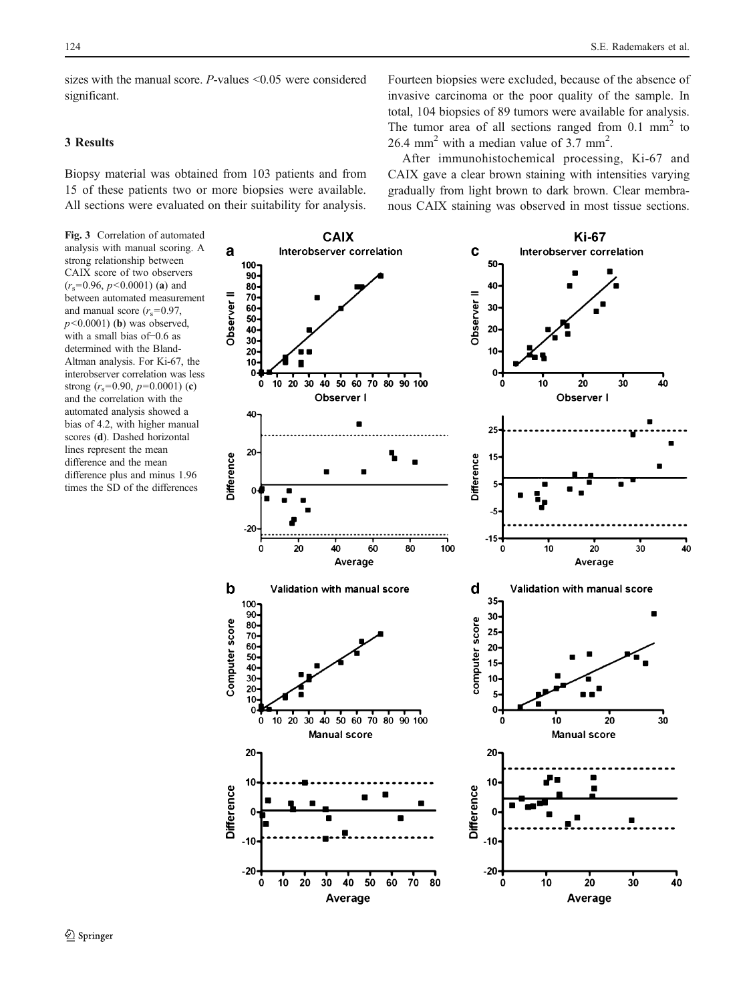<span id="page-5-0"></span>sizes with the manual score. P-values <0.05 were considered significant.

### 3 Results

Biopsy material was obtained from 103 patients and from 15 of these patients two or more biopsies were available. All sections were evaluated on their suitability for analysis.

Fig. 3 Correlation of automated analysis with manual scoring. A strong relationship between CAIX score of two observers  $(r_s=0.96, p<0.0001)$  (a) and between automated measurement and manual score  $(r_s=0.97)$ ,  $p<0.0001$ ) (**b**) was observed, with a small bias of−0.6 as determined with the Bland-Altman analysis. For Ki-67, the interobserver correlation was less strong  $(r_s=0.90, p=0.0001)$  (c) and the correlation with the automated analysis showed a bias of 4.2, with higher manual scores (d). Dashed horizontal lines represent the mean difference and the mean difference plus and minus 1.96 times the SD of the differences



After immunohistochemical processing, Ki-67 and CAIX gave a clear brown staining with intensities varying gradually from light brown to dark brown. Clear membranous CAIX staining was observed in most tissue sections.

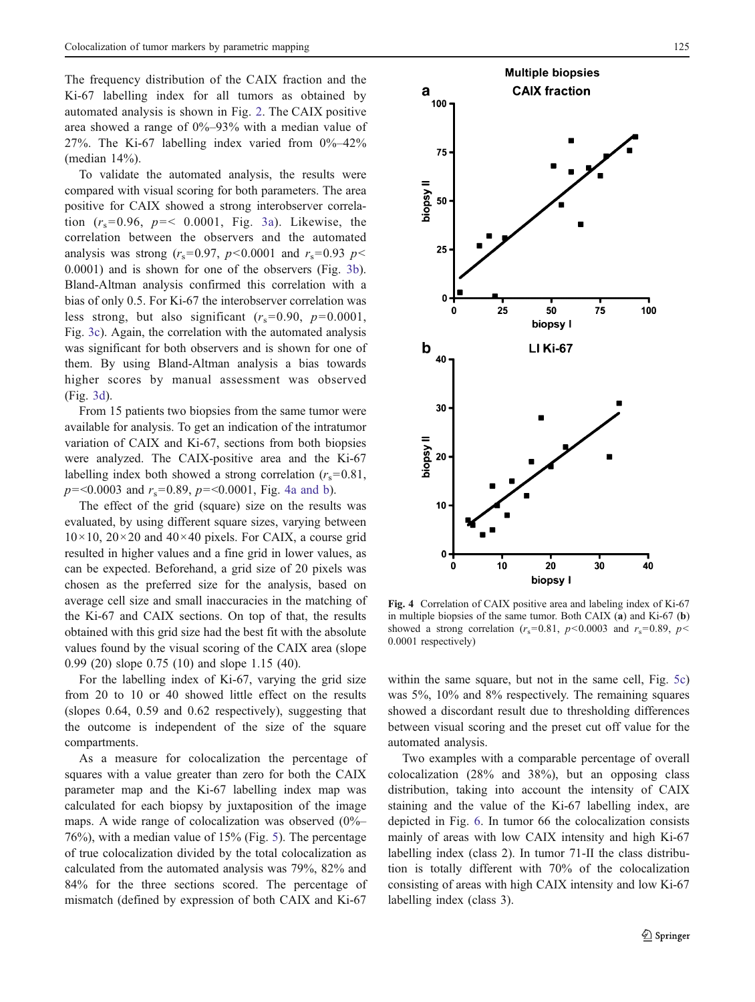The frequency distribution of the CAIX fraction and the Ki-67 labelling index for all tumors as obtained by automated analysis is shown in Fig. [2.](#page-4-0) The CAIX positive area showed a range of 0%–93% with a median value of 27%. The Ki-67 labelling index varied from  $0\% - 42\%$ (median 14%).

To validate the automated analysis, the results were compared with visual scoring for both parameters. The area positive for CAIX showed a strong interobserver correlation  $(r_s=0.96, p=< 0.0001, Fig. 3a)$  $(r_s=0.96, p=< 0.0001, Fig. 3a)$  $(r_s=0.96, p=< 0.0001, Fig. 3a)$ . Likewise, the correlation between the observers and the automated analysis was strong  $(r_s=0.97, p<0.0001$  and  $r_s=0.93$   $p<$ 0.0001) and is shown for one of the observers (Fig. [3b](#page-5-0)). Bland-Altman analysis confirmed this correlation with a bias of only 0.5. For Ki-67 the interobserver correlation was less strong, but also significant  $(r_s=0.90, p=0.0001,$ Fig. [3c\)](#page-5-0). Again, the correlation with the automated analysis was significant for both observers and is shown for one of them. By using Bland-Altman analysis a bias towards higher scores by manual assessment was observed (Fig. [3d](#page-5-0)).

From 15 patients two biopsies from the same tumor were available for analysis. To get an indication of the intratumor variation of CAIX and Ki-67, sections from both biopsies were analyzed. The CAIX-positive area and the Ki-67 labelling index both showed a strong correlation  $(r_s=0.81,$  $p = 0.0003$  and  $r_s = 0.89$ ,  $p = 0.0001$ , Fig. 4a and b).

The effect of the grid (square) size on the results was evaluated, by using different square sizes, varying between  $10\times10$ ,  $20\times20$  and  $40\times40$  pixels. For CAIX, a course grid resulted in higher values and a fine grid in lower values, as can be expected. Beforehand, a grid size of 20 pixels was chosen as the preferred size for the analysis, based on average cell size and small inaccuracies in the matching of the Ki-67 and CAIX sections. On top of that, the results obtained with this grid size had the best fit with the absolute values found by the visual scoring of the CAIX area (slope 0.99 (20) slope 0.75 (10) and slope 1.15 (40).

For the labelling index of Ki-67, varying the grid size from 20 to 10 or 40 showed little effect on the results (slopes 0.64, 0.59 and 0.62 respectively), suggesting that the outcome is independent of the size of the square compartments.

As a measure for colocalization the percentage of squares with a value greater than zero for both the CAIX parameter map and the Ki-67 labelling index map was calculated for each biopsy by juxtaposition of the image maps. A wide range of colocalization was observed (0%– 76%), with a median value of 15% (Fig. [5\)](#page-7-0). The percentage of true colocalization divided by the total colocalization as calculated from the automated analysis was 79%, 82% and 84% for the three sections scored. The percentage of mismatch (defined by expression of both CAIX and Ki-67



Fig. 4 Correlation of CAIX positive area and labeling index of Ki-67 in multiple biopsies of the same tumor. Both CAIX (a) and Ki-67 (b) showed a strong correlation ( $r_s$ =0.81,  $p$ <0.0003 and  $r_s$ =0.89,  $p$ < 0.0001 respectively)

within the same square, but not in the same cell, Fig. [5c](#page-7-0)) was 5%, 10% and 8% respectively. The remaining squares showed a discordant result due to thresholding differences between visual scoring and the preset cut off value for the automated analysis.

Two examples with a comparable percentage of overall colocalization (28% and 38%), but an opposing class distribution, taking into account the intensity of CAIX staining and the value of the Ki-67 labelling index, are depicted in Fig. [6](#page-8-0). In tumor 66 the colocalization consists mainly of areas with low CAIX intensity and high Ki-67 labelling index (class 2). In tumor 71-II the class distribution is totally different with 70% of the colocalization consisting of areas with high CAIX intensity and low Ki-67 labelling index (class 3).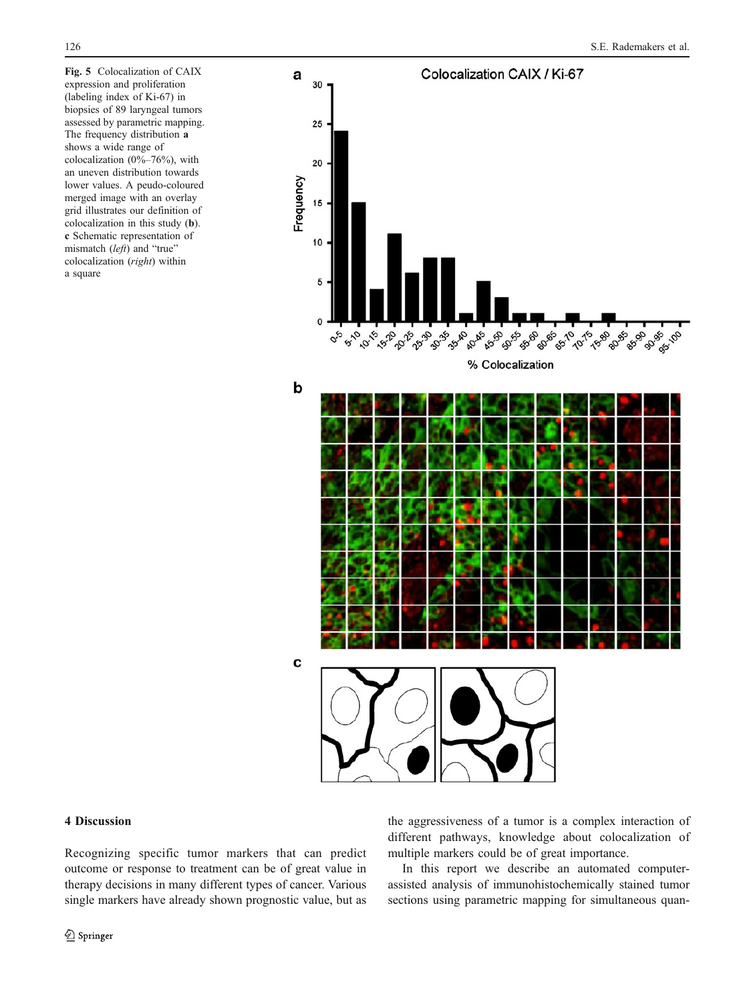<span id="page-7-0"></span>Fig. 5 Colocalization of CAIX expression and proliferation (labeling index of Ki-67) in biopsies of 89 laryngeal tumors assessed by parametric mapping. The frequency distribution a shows a wide range of colocalization (0%–76%), with an uneven distribution towards lower values. A peudo-coloured merged image with an overlay grid illustrates our definition of colocalization in this study (b). c Schematic representation of mismatch (left) and "true" colocalization (right) within a square



## 4 Discussion

Recognizing specific tumor markers that can predict outcome or response to treatment can be of great value in therapy decisions in many different types of cancer. Various single markers have already shown prognostic value, but as the aggressiveness of a tumor is a complex interaction of different pathways, knowledge about colocalization of multiple markers could be of great importance.

In this report we describe an automated computerassisted analysis of immunohistochemically stained tumor sections using parametric mapping for simultaneous quan-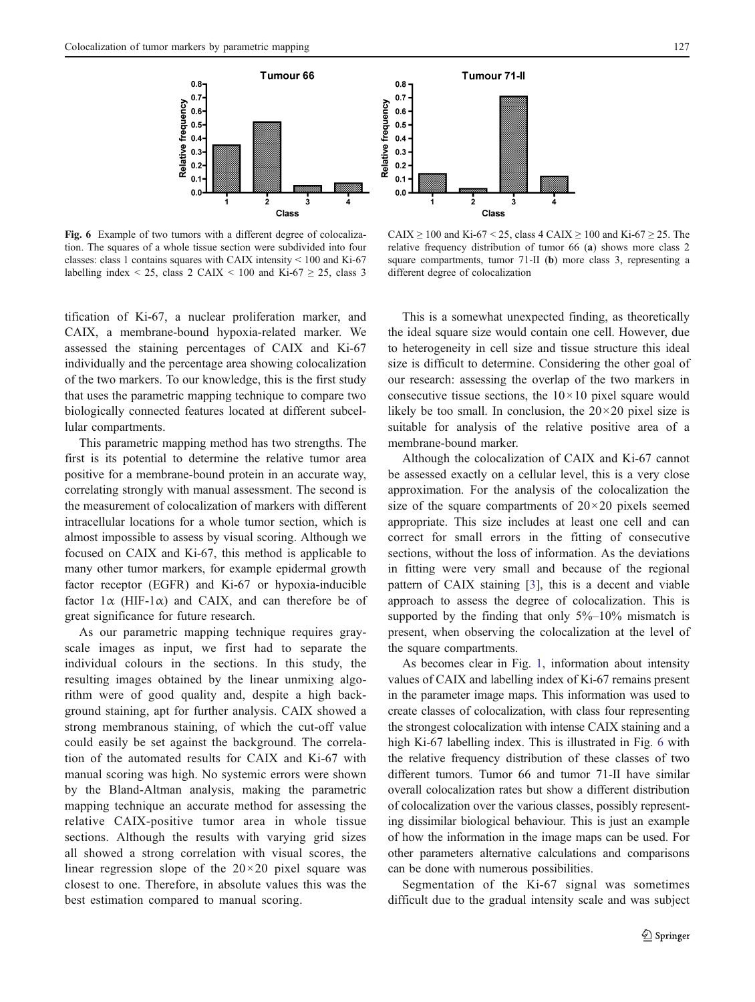<span id="page-8-0"></span>

Fig. 6 Example of two tumors with a different degree of colocalization. The squares of a whole tissue section were subdivided into four classes: class 1 contains squares with CAIX intensity < 100 and Ki-67 labelling index < 25, class 2 CAIX < 100 and Ki-67  $\geq$  25, class 3

Class CAIX  $\geq$  100 and Ki-67 < 25, class 4 CAIX  $\geq$  100 and Ki-67  $\geq$  25. The relative frequency distribution of tumor 66 (a) shows more class 2 square compartments, tumor 71-II (b) more class 3, representing a different degree of colocalization

3

Tumour 71-II

2

 $0.8$ 

 $0.7$ 

 $0.6$ 

 $0.5$ 

 $0.4$ 

 $0.3$ 

 $0.2$ 

 $\mathbf{a}$ 

 $0.0$ 

tification of Ki-67, a nuclear proliferation marker, and CAIX, a membrane-bound hypoxia-related marker. We assessed the staining percentages of CAIX and Ki-67 individually and the percentage area showing colocalization of the two markers. To our knowledge, this is the first study that uses the parametric mapping technique to compare two biologically connected features located at different subcellular compartments.

This parametric mapping method has two strengths. The first is its potential to determine the relative tumor area positive for a membrane-bound protein in an accurate way, correlating strongly with manual assessment. The second is the measurement of colocalization of markers with different intracellular locations for a whole tumor section, which is almost impossible to assess by visual scoring. Although we focused on CAIX and Ki-67, this method is applicable to many other tumor markers, for example epidermal growth factor receptor (EGFR) and Ki-67 or hypoxia-inducible factor  $1\alpha$  (HIF-1 $\alpha$ ) and CAIX, and can therefore be of great significance for future research.

As our parametric mapping technique requires grayscale images as input, we first had to separate the individual colours in the sections. In this study, the resulting images obtained by the linear unmixing algorithm were of good quality and, despite a high background staining, apt for further analysis. CAIX showed a strong membranous staining, of which the cut-off value could easily be set against the background. The correlation of the automated results for CAIX and Ki-67 with manual scoring was high. No systemic errors were shown by the Bland-Altman analysis, making the parametric mapping technique an accurate method for assessing the relative CAIX-positive tumor area in whole tissue sections. Although the results with varying grid sizes all showed a strong correlation with visual scores, the linear regression slope of the  $20 \times 20$  pixel square was closest to one. Therefore, in absolute values this was the best estimation compared to manual scoring.

This is a somewhat unexpected finding, as theoretically the ideal square size would contain one cell. However, due to heterogeneity in cell size and tissue structure this ideal size is difficult to determine. Considering the other goal of our research: assessing the overlap of the two markers in consecutive tissue sections, the  $10 \times 10$  pixel square would likely be too small. In conclusion, the  $20 \times 20$  pixel size is suitable for analysis of the relative positive area of a membrane-bound marker.

Although the colocalization of CAIX and Ki-67 cannot be assessed exactly on a cellular level, this is a very close approximation. For the analysis of the colocalization the size of the square compartments of  $20 \times 20$  pixels seemed appropriate. This size includes at least one cell and can correct for small errors in the fitting of consecutive sections, without the loss of information. As the deviations in fitting were very small and because of the regional pattern of CAIX staining [[3\]](#page-9-0), this is a decent and viable approach to assess the degree of colocalization. This is supported by the finding that only  $5\%$ –10% mismatch is present, when observing the colocalization at the level of the square compartments.

As becomes clear in Fig. [1,](#page-3-0) information about intensity values of CAIX and labelling index of Ki-67 remains present in the parameter image maps. This information was used to create classes of colocalization, with class four representing the strongest colocalization with intense CAIX staining and a high Ki-67 labelling index. This is illustrated in Fig. 6 with the relative frequency distribution of these classes of two different tumors. Tumor 66 and tumor 71-II have similar overall colocalization rates but show a different distribution of colocalization over the various classes, possibly representing dissimilar biological behaviour. This is just an example of how the information in the image maps can be used. For other parameters alternative calculations and comparisons can be done with numerous possibilities.

Segmentation of the Ki-67 signal was sometimes difficult due to the gradual intensity scale and was subject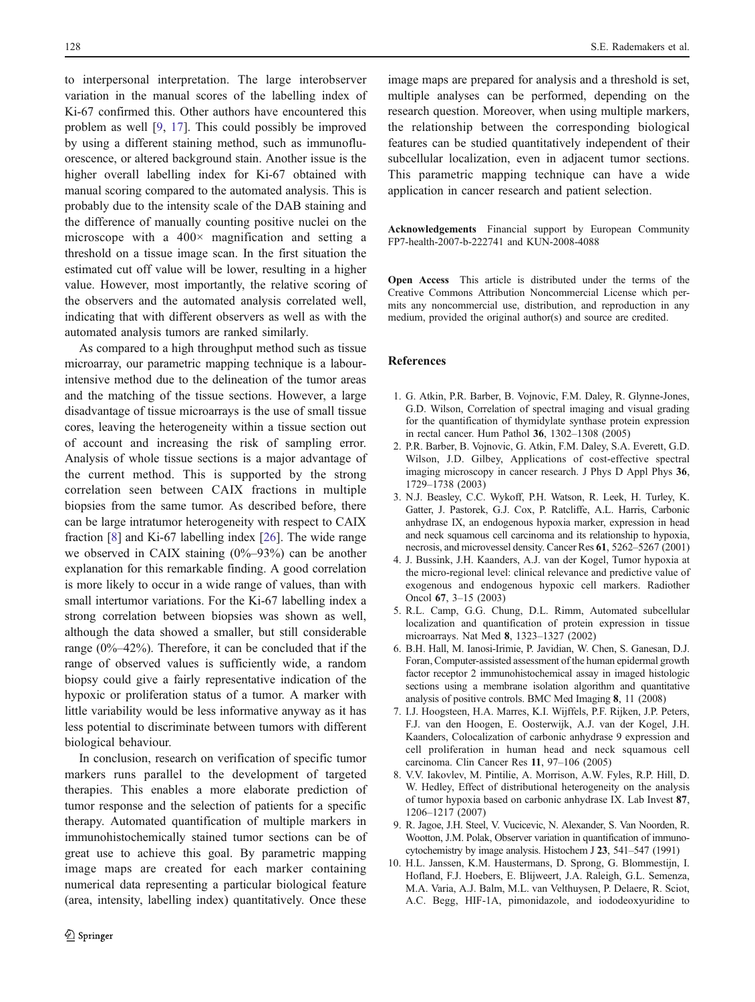<span id="page-9-0"></span>to interpersonal interpretation. The large interobserver variation in the manual scores of the labelling index of Ki-67 confirmed this. Other authors have encountered this problem as well [9, [17\]](#page-10-0). This could possibly be improved by using a different staining method, such as immunofluorescence, or altered background stain. Another issue is the higher overall labelling index for Ki-67 obtained with manual scoring compared to the automated analysis. This is probably due to the intensity scale of the DAB staining and the difference of manually counting positive nuclei on the microscope with a  $400\times$  magnification and setting a threshold on a tissue image scan. In the first situation the estimated cut off value will be lower, resulting in a higher value. However, most importantly, the relative scoring of the observers and the automated analysis correlated well, indicating that with different observers as well as with the automated analysis tumors are ranked similarly.

As compared to a high throughput method such as tissue microarray, our parametric mapping technique is a labourintensive method due to the delineation of the tumor areas and the matching of the tissue sections. However, a large disadvantage of tissue microarrays is the use of small tissue cores, leaving the heterogeneity within a tissue section out of account and increasing the risk of sampling error. Analysis of whole tissue sections is a major advantage of the current method. This is supported by the strong correlation seen between CAIX fractions in multiple biopsies from the same tumor. As described before, there can be large intratumor heterogeneity with respect to CAIX fraction [8] and Ki-67 labelling index [[26\]](#page-10-0). The wide range we observed in CAIX staining (0%–93%) can be another explanation for this remarkable finding. A good correlation is more likely to occur in a wide range of values, than with small intertumor variations. For the Ki-67 labelling index a strong correlation between biopsies was shown as well, although the data showed a smaller, but still considerable range (0%–42%). Therefore, it can be concluded that if the range of observed values is sufficiently wide, a random biopsy could give a fairly representative indication of the hypoxic or proliferation status of a tumor. A marker with little variability would be less informative anyway as it has less potential to discriminate between tumors with different biological behaviour.

In conclusion, research on verification of specific tumor markers runs parallel to the development of targeted therapies. This enables a more elaborate prediction of tumor response and the selection of patients for a specific therapy. Automated quantification of multiple markers in immunohistochemically stained tumor sections can be of great use to achieve this goal. By parametric mapping image maps are created for each marker containing numerical data representing a particular biological feature (area, intensity, labelling index) quantitatively. Once these

image maps are prepared for analysis and a threshold is set, multiple analyses can be performed, depending on the research question. Moreover, when using multiple markers, the relationship between the corresponding biological features can be studied quantitatively independent of their subcellular localization, even in adjacent tumor sections. This parametric mapping technique can have a wide application in cancer research and patient selection.

Acknowledgements Financial support by European Community FP7-health-2007-b-222741 and KUN-2008-4088

Open Access This article is distributed under the terms of the Creative Commons Attribution Noncommercial License which permits any noncommercial use, distribution, and reproduction in any medium, provided the original author(s) and source are credited.

#### References

- 1. G. Atkin, P.R. Barber, B. Vojnovic, F.M. Daley, R. Glynne-Jones, G.D. Wilson, Correlation of spectral imaging and visual grading for the quantification of thymidylate synthase protein expression in rectal cancer. Hum Pathol 36, 1302–1308 (2005)
- 2. P.R. Barber, B. Vojnovic, G. Atkin, F.M. Daley, S.A. Everett, G.D. Wilson, J.D. Gilbey, Applications of cost-effective spectral imaging microscopy in cancer research. J Phys D Appl Phys 36, 1729–1738 (2003)
- 3. N.J. Beasley, C.C. Wykoff, P.H. Watson, R. Leek, H. Turley, K. Gatter, J. Pastorek, G.J. Cox, P. Ratcliffe, A.L. Harris, Carbonic anhydrase IX, an endogenous hypoxia marker, expression in head and neck squamous cell carcinoma and its relationship to hypoxia, necrosis, and microvessel density. Cancer Res 61, 5262–5267 (2001)
- 4. J. Bussink, J.H. Kaanders, A.J. van der Kogel, Tumor hypoxia at the micro-regional level: clinical relevance and predictive value of exogenous and endogenous hypoxic cell markers. Radiother Oncol 67, 3–15 (2003)
- 5. R.L. Camp, G.G. Chung, D.L. Rimm, Automated subcellular localization and quantification of protein expression in tissue microarrays. Nat Med 8, 1323–1327 (2002)
- 6. B.H. Hall, M. Ianosi-Irimie, P. Javidian, W. Chen, S. Ganesan, D.J. Foran, Computer-assisted assessment of the human epidermal growth factor receptor 2 immunohistochemical assay in imaged histologic sections using a membrane isolation algorithm and quantitative analysis of positive controls. BMC Med Imaging 8, 11 (2008)
- 7. I.J. Hoogsteen, H.A. Marres, K.I. Wijffels, P.F. Rijken, J.P. Peters, F.J. van den Hoogen, E. Oosterwijk, A.J. van der Kogel, J.H. Kaanders, Colocalization of carbonic anhydrase 9 expression and cell proliferation in human head and neck squamous cell carcinoma. Clin Cancer Res 11, 97–106 (2005)
- 8. V.V. Iakovlev, M. Pintilie, A. Morrison, A.W. Fyles, R.P. Hill, D. W. Hedley, Effect of distributional heterogeneity on the analysis of tumor hypoxia based on carbonic anhydrase IX. Lab Invest 87, 1206–1217 (2007)
- 9. R. Jagoe, J.H. Steel, V. Vucicevic, N. Alexander, S. Van Noorden, R. Wootton, J.M. Polak, Observer variation in quantification of immunocytochemistry by image analysis. Histochem J 23, 541–547 (1991)
- 10. H.L. Janssen, K.M. Haustermans, D. Sprong, G. Blommestijn, I. Hofland, F.J. Hoebers, E. Blijweert, J.A. Raleigh, G.L. Semenza, M.A. Varia, A.J. Balm, M.L. van Velthuysen, P. Delaere, R. Sciot, A.C. Begg, HIF-1A, pimonidazole, and iododeoxyuridine to